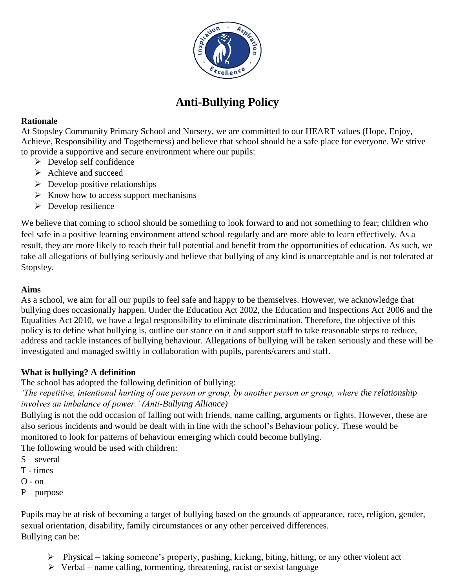

# **Anti-Bullying Policy**

#### **Rationale**

At Stopsley Community Primary School and Nursery, we are committed to our HEART values (Hope, Enjoy, Achieve, Responsibility and Togetherness) and believe that school should be a safe place for everyone. We strive to provide a supportive and secure environment where our pupils:

- $\triangleright$  Develop self confidence
- $\triangleright$  Achieve and succeed
- $\triangleright$  Develop positive relationships
- $\triangleright$  Know how to access support mechanisms
- $\triangleright$  Develop resilience

We believe that coming to school should be something to look forward to and not something to fear; children who feel safe in a positive learning environment attend school regularly and are more able to learn effectively. As a result, they are more likely to reach their full potential and benefit from the opportunities of education. As such, we take all allegations of bullying seriously and believe that bullying of any kind is unacceptable and is not tolerated at Stopsley.

## **Aims**

As a school, we aim for all our pupils to feel safe and happy to be themselves. However, we acknowledge that bullying does occasionally happen. Under the Education Act 2002, the Education and Inspections Act 2006 and the Equalities Act 2010, we have a legal responsibility to eliminate discrimination. Therefore, the objective of this policy is to define what bullying is, outline our stance on it and support staff to take reasonable steps to reduce, address and tackle instances of bullying behaviour. Allegations of bullying will be taken seriously and these will be investigated and managed swiftly in collaboration with pupils, parents/carers and staff.

## **What is bullying? A definition**

The school has adopted the following definition of bullying:

*'The repetitive, intentional hurting of one person or group, by another person or group, where the relationship involves an imbalance of power.' (Anti-Bullying Alliance)*

Bullying is not the odd occasion of falling out with friends, name calling, arguments or fights. However, these are also serious incidents and would be dealt with in line with the school's Behaviour policy. These would be monitored to look for patterns of behaviour emerging which could become bullying.

The following would be used with children:

- S several
- T times
- O on
- $P$  purpose

Pupils may be at risk of becoming a target of bullying based on the grounds of appearance, race, religion, gender, sexual orientation, disability, family circumstances or any other perceived differences. Bullying can be:

- $\triangleright$  Physical taking someone's property, pushing, kicking, biting, hitting, or any other violent act
- $\triangleright$  Verbal name calling, tormenting, threatening, racist or sexist language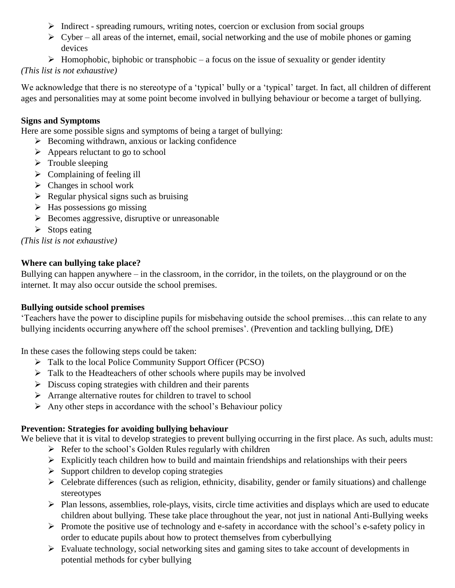- $\triangleright$  Indirect spreading rumours, writing notes, coercion or exclusion from social groups
- $\triangleright$  Cyber all areas of the internet, email, social networking and the use of mobile phones or gaming devices
- $\triangleright$  Homophobic, biphobic or transphobic a focus on the issue of sexuality or gender identity

## *(This list is not exhaustive)*

We acknowledge that there is no stereotype of a 'typical' bully or a 'typical' target. In fact, all children of different ages and personalities may at some point become involved in bullying behaviour or become a target of bullying.

## **Signs and Symptoms**

Here are some possible signs and symptoms of being a target of bullying:

- $\triangleright$  Becoming withdrawn, anxious or lacking confidence
- $\triangleright$  Appears reluctant to go to school
- $\triangleright$  Trouble sleeping
- $\triangleright$  Complaining of feeling ill
- $\triangleright$  Changes in school work
- $\triangleright$  Regular physical signs such as bruising
- $\triangleright$  Has possessions go missing
- $\triangleright$  Becomes aggressive, disruptive or unreasonable
- $\triangleright$  Stops eating

## *(This list is not exhaustive)*

## **Where can bullying take place?**

Bullying can happen anywhere – in the classroom, in the corridor, in the toilets, on the playground or on the internet. It may also occur outside the school premises.

## **Bullying outside school premises**

'Teachers have the power to discipline pupils for misbehaving outside the school premises…this can relate to any bullying incidents occurring anywhere off the school premises'. (Prevention and tackling bullying, DfE)

In these cases the following steps could be taken:

- Talk to the local Police Community Support Officer (PCSO)
- $\triangleright$  Talk to the Headteachers of other schools where pupils may be involved
- $\triangleright$  Discuss coping strategies with children and their parents
- Arrange alternative routes for children to travel to school
- $\triangleright$  Any other steps in accordance with the school's Behaviour policy

# **Prevention: Strategies for avoiding bullying behaviour**

We believe that it is vital to develop strategies to prevent bullying occurring in the first place. As such, adults must:  $\triangleright$  Refer to the school's Golden Rules regularly with children

- $\triangleright$  Explicitly teach children how to build and maintain friendships and relationships with their peers
- $\triangleright$  Support children to develop coping strategies
- $\triangleright$  Celebrate differences (such as religion, ethnicity, disability, gender or family situations) and challenge stereotypes
- Plan lessons, assemblies, role-plays, visits, circle time activities and displays which are used to educate children about bullying. These take place throughout the year, not just in national Anti-Bullying weeks
- $\triangleright$  Promote the positive use of technology and e-safety in accordance with the school's e-safety policy in order to educate pupils about how to protect themselves from cyberbullying
- $\triangleright$  Evaluate technology, social networking sites and gaming sites to take account of developments in potential methods for cyber bullying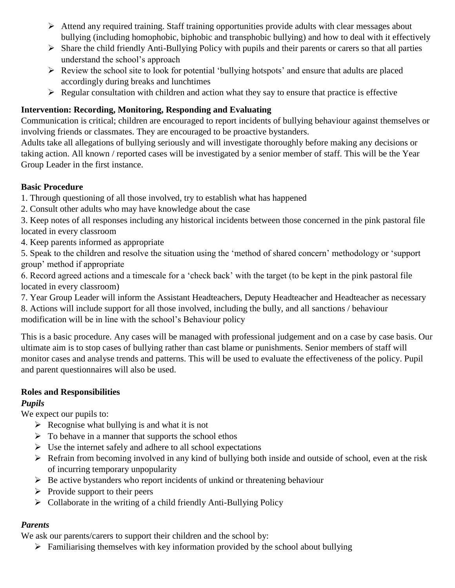- $\triangleright$  Attend any required training. Staff training opportunities provide adults with clear messages about bullying (including homophobic, biphobic and transphobic bullying) and how to deal with it effectively
- $\triangleright$  Share the child friendly Anti-Bullying Policy with pupils and their parents or carers so that all parties understand the school's approach
- $\triangleright$  Review the school site to look for potential 'bullying hotspots' and ensure that adults are placed accordingly during breaks and lunchtimes
- $\triangleright$  Regular consultation with children and action what they say to ensure that practice is effective

# **Intervention: Recording, Monitoring, Responding and Evaluating**

Communication is critical; children are encouraged to report incidents of bullying behaviour against themselves or involving friends or classmates. They are encouraged to be proactive bystanders.

Adults take all allegations of bullying seriously and will investigate thoroughly before making any decisions or taking action. All known / reported cases will be investigated by a senior member of staff. This will be the Year Group Leader in the first instance.

#### **Basic Procedure**

1. Through questioning of all those involved, try to establish what has happened

2. Consult other adults who may have knowledge about the case

3. Keep notes of all responses including any historical incidents between those concerned in the pink pastoral file located in every classroom

4. Keep parents informed as appropriate

5. Speak to the children and resolve the situation using the 'method of shared concern' methodology or 'support group' method if appropriate

6. Record agreed actions and a timescale for a 'check back' with the target (to be kept in the pink pastoral file located in every classroom)

7. Year Group Leader will inform the Assistant Headteachers, Deputy Headteacher and Headteacher as necessary 8. Actions will include support for all those involved, including the bully, and all sanctions / behaviour modification will be in line with the school's Behaviour policy

This is a basic procedure. Any cases will be managed with professional judgement and on a case by case basis. Our ultimate aim is to stop cases of bullying rather than cast blame or punishments. Senior members of staff will monitor cases and analyse trends and patterns. This will be used to evaluate the effectiveness of the policy. Pupil and parent questionnaires will also be used.

# **Roles and Responsibilities**

## *Pupils*

We expect our pupils to:

- $\triangleright$  Recognise what bullying is and what it is not
- $\triangleright$  To behave in a manner that supports the school ethos
- $\triangleright$  Use the internet safely and adhere to all school expectations
- $\triangleright$  Refrain from becoming involved in any kind of bullying both inside and outside of school, even at the risk of incurring temporary unpopularity
- $\triangleright$  Be active bystanders who report incidents of unkind or threatening behaviour
- $\triangleright$  Provide support to their peers
- $\triangleright$  Collaborate in the writing of a child friendly Anti-Bullying Policy

#### *Parents*

We ask our parents/carers to support their children and the school by:

 $\triangleright$  Familiarising themselves with key information provided by the school about bullying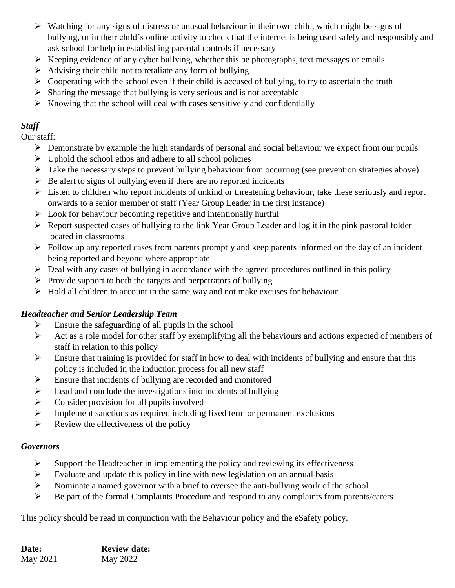- $\triangleright$  Watching for any signs of distress or unusual behaviour in their own child, which might be signs of bullying, or in their child's online activity to check that the internet is being used safely and responsibly and ask school for help in establishing parental controls if necessary
- $\triangleright$  Keeping evidence of any cyber bullying, whether this be photographs, text messages or emails
- $\triangleright$  Advising their child not to retaliate any form of bullying
- $\triangleright$  Cooperating with the school even if their child is accused of bullying, to try to ascertain the truth
- $\triangleright$  Sharing the message that bullying is very serious and is not acceptable
- $\triangleright$  Knowing that the school will deal with cases sensitively and confidentially

# *Staff*

Our staff:

- $\triangleright$  Demonstrate by example the high standards of personal and social behaviour we expect from our pupils
- $\triangleright$  Uphold the school ethos and adhere to all school policies
- $\triangleright$  Take the necessary steps to prevent bullying behaviour from occurring (see prevention strategies above)
- $\triangleright$  Be alert to signs of bullying even if there are no reported incidents
- $\triangleright$  Listen to children who report incidents of unkind or threatening behaviour, take these seriously and report onwards to a senior member of staff (Year Group Leader in the first instance)
- $\triangleright$  Look for behaviour becoming repetitive and intentionally hurtful
- $\triangleright$  Report suspected cases of bullying to the link Year Group Leader and log it in the pink pastoral folder located in classrooms
- $\triangleright$  Follow up any reported cases from parents promptly and keep parents informed on the day of an incident being reported and beyond where appropriate
- $\triangleright$  Deal with any cases of bullying in accordance with the agreed procedures outlined in this policy
- $\triangleright$  Provide support to both the targets and perpetrators of bullying
- $\triangleright$  Hold all children to account in the same way and not make excuses for behaviour

# *Headteacher and Senior Leadership Team*

- $\triangleright$  Ensure the safeguarding of all pupils in the school
- $\triangleright$  Act as a role model for other staff by exemplifying all the behaviours and actions expected of members of staff in relation to this policy
- $\triangleright$  Ensure that training is provided for staff in how to deal with incidents of bullying and ensure that this policy is included in the induction process for all new staff
- $\triangleright$  Ensure that incidents of bullying are recorded and monitored
- $\triangleright$  Lead and conclude the investigations into incidents of bullying
- $\triangleright$  Consider provision for all pupils involved
- $\triangleright$  Implement sanctions as required including fixed term or permanent exclusions
- $\triangleright$  Review the effectiveness of the policy

# *Governors*

- $\triangleright$  Support the Headteacher in implementing the policy and reviewing its effectiveness
- $\triangleright$  Evaluate and update this policy in line with new legislation on an annual basis
- $\triangleright$  Nominate a named governor with a brief to oversee the anti-bullying work of the school
- $\triangleright$  Be part of the formal Complaints Procedure and respond to any complaints from parents/carers

This policy should be read in conjunction with the Behaviour policy and the eSafety policy.

| <b>Date:</b> | <b>Review date:</b> |
|--------------|---------------------|
| May 2021     | May 2022            |